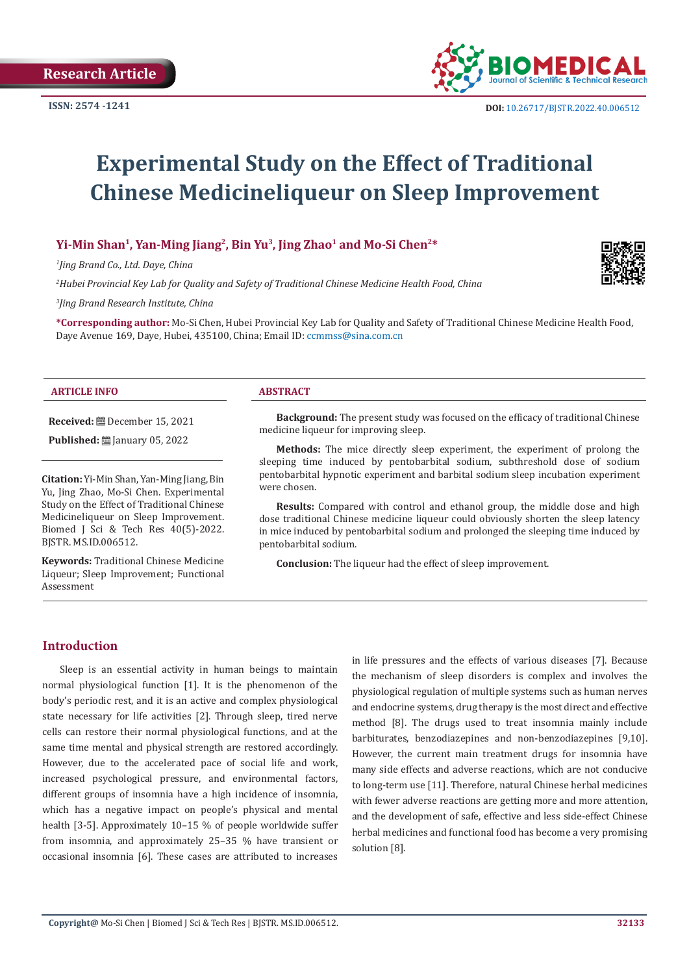

# **Experimental Study on the Effect of Traditional Chinese Medicineliqueur on Sleep Improvement**

# Yi-Min Shan<sup>1</sup>, Yan-Ming Jiang<sup>2</sup>, Bin Yu<sup>3</sup>, Jing Zhao<sup>1</sup> and Mo-Si Chen<sup>2\*</sup>

*1 Jing Brand Co., Ltd. Daye, China*

**Received:** December 15, 2021 **Published:** ■ January 05, 2022

**Citation:** Yi-Min Shan, Yan-Ming Jiang, Bin Yu, Jing Zhao, Mo-Si Chen. Experimental Study on the Effect of Traditional Chinese Medicineliqueur on Sleep Improvement. Biomed J Sci & Tech Res 40(5)-2022.

**Keywords:** Traditional Chinese Medicine Liqueur; Sleep Improvement; Functional

*2 Hubei Provincial Key Lab for Quality and Safety of Traditional Chinese Medicine Health Food, China*

*3 Jing Brand Research Institute, China* 

**\*Corresponding author:** Mo-Si Chen, Hubei Provincial Key Lab for Quality and Safety of Traditional Chinese Medicine Health Food, Daye Avenue 169, Daye, Hubei, 435100, China; Email ID: ccmmss@sina.com.cn

#### **ARTICLE INFO ABSTRACT**

**Background:** The present study was focused on the efficacy of traditional Chinese medicine liqueur for improving sleep.

**Methods:** The mice directly sleep experiment, the experiment of prolong the sleeping time induced by pentobarbital sodium, subthreshold dose of sodium pentobarbital hypnotic experiment and barbital sodium sleep incubation experiment were chosen.

**Results:** Compared with control and ethanol group, the middle dose and high dose traditional Chinese medicine liqueur could obviously shorten the sleep latency in mice induced by pentobarbital sodium and prolonged the sleeping time induced by pentobarbital sodium.

**Conclusion:** The liqueur had the effect of sleep improvement.

# **Introduction**

Assessment

BJSTR. MS.ID.006512.

Sleep is an essential activity in human beings to maintain normal physiological function [1]. It is the phenomenon of the body's periodic rest, and it is an active and complex physiological state necessary for life activities [2]. Through sleep, tired nerve cells can restore their normal physiological functions, and at the same time mental and physical strength are restored accordingly. However, due to the accelerated pace of social life and work, increased psychological pressure, and environmental factors, different groups of insomnia have a high incidence of insomnia, which has a negative impact on people's physical and mental health [3-5]. Approximately 10–15 % of people worldwide suffer from insomnia, and approximately 25–35 % have transient or occasional insomnia [6]. These cases are attributed to increases

in life pressures and the effects of various diseases [7]. Because the mechanism of sleep disorders is complex and involves the physiological regulation of multiple systems such as human nerves and endocrine systems, drug therapy is the most direct and effective method [8]. The drugs used to treat insomnia mainly include barbiturates, benzodiazepines and non-benzodiazepines [9,10]. However, the current main treatment drugs for insomnia have many side effects and adverse reactions, which are not conducive to long-term use [11]. Therefore, natural Chinese herbal medicines with fewer adverse reactions are getting more and more attention, and the development of safe, effective and less side-effect Chinese herbal medicines and functional food has become a very promising solution [8].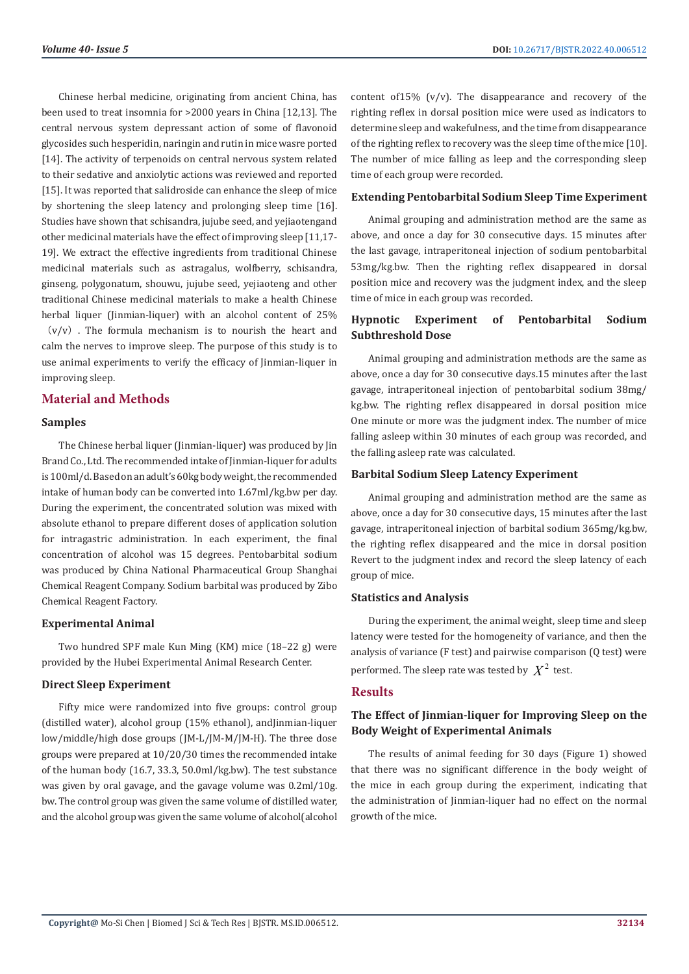Chinese herbal medicine, originating from ancient China, has been used to treat insomnia for >2000 years in China [12,13]. The central nervous system depressant action of some of flavonoid glycosides such hesperidin, naringin and rutin in mice wasre ported [14]. The activity of terpenoids on central nervous system related to their sedative and anxiolytic actions was reviewed and reported [15]. It was reported that salidroside can enhance the sleep of mice by shortening the sleep latency and prolonging sleep time [16]. Studies have shown that schisandra, jujube seed, and yejiaotengand other medicinal materials have the effect of improving sleep [11,17- 19]. We extract the effective ingredients from traditional Chinese medicinal materials such as astragalus, wolfberry, schisandra, ginseng, polygonatum, shouwu, jujube seed, yejiaoteng and other traditional Chinese medicinal materials to make a health Chinese herbal liquer (Jinmian-liquer) with an alcohol content of 25%  $(v/v)$ . The formula mechanism is to nourish the heart and calm the nerves to improve sleep. The purpose of this study is to use animal experiments to verify the efficacy of Jinmian-liquer in improving sleep.

# **Material and Methods**

# **Samples**

The Chinese herbal liquer (Jinmian-liquer) was produced by Jin Brand Co., Ltd. The recommended intake of Jinmian-liquer for adults is 100ml/d. Based on an adult's 60kg body weight, the recommended intake of human body can be converted into 1.67ml/kg.bw per day. During the experiment, the concentrated solution was mixed with absolute ethanol to prepare different doses of application solution for intragastric administration. In each experiment, the final concentration of alcohol was 15 degrees. Pentobarbital sodium was produced by China National Pharmaceutical Group Shanghai Chemical Reagent Company. Sodium barbital was produced by Zibo Chemical Reagent Factory.

# **Experimental Animal**

Two hundred SPF male Kun Ming (KM) mice (18–22 g) were provided by the Hubei Experimental Animal Research Center.

# **Direct Sleep Experiment**

Fifty mice were randomized into five groups: control group (distilled water), alcohol group (15% ethanol), andJinmian-liquer low/middle/high dose groups (JM-L/JM-M/JM-H). The three dose groups were prepared at 10/20/30 times the recommended intake of the human body (16.7, 33.3, 50.0ml/kg.bw). The test substance was given by oral gavage, and the gavage volume was 0.2ml/10g. bw. The control group was given the same volume of distilled water, and the alcohol group was given the same volume of alcohol(alcohol

content of15% (v/v). The disappearance and recovery of the righting reflex in dorsal position mice were used as indicators to determine sleep and wakefulness, and the time from disappearance of the righting reflex to recovery was the sleep time of the mice [10]. The number of mice falling as leep and the corresponding sleep time of each group were recorded.

# **Extending Pentobarbital Sodium Sleep Time Experiment**

Animal grouping and administration method are the same as above, and once a day for 30 consecutive days. 15 minutes after the last gavage, intraperitoneal injection of sodium pentobarbital 53mg/kg.bw. Then the righting reflex disappeared in dorsal position mice and recovery was the judgment index, and the sleep time of mice in each group was recorded.

# **Hypnotic Experiment of Pentobarbital Sodium Subthreshold Dose**

Animal grouping and administration methods are the same as above, once a day for 30 consecutive days.15 minutes after the last gavage, intraperitoneal injection of pentobarbital sodium 38mg/ kg.bw. The righting reflex disappeared in dorsal position mice One minute or more was the judgment index. The number of mice falling asleep within 30 minutes of each group was recorded, and the falling asleep rate was calculated.

# **Barbital Sodium Sleep Latency Experiment**

Animal grouping and administration method are the same as above, once a day for 30 consecutive days, 15 minutes after the last gavage, intraperitoneal injection of barbital sodium 365mg/kg.bw, the righting reflex disappeared and the mice in dorsal position Revert to the judgment index and record the sleep latency of each group of mice.

# **Statistics and Analysis**

During the experiment, the animal weight, sleep time and sleep latency were tested for the homogeneity of variance, and then the analysis of variance (F test) and pairwise comparison (Q test) were performed. The sleep rate was tested by  $X^2$  test.

# **Results**

# **The Effect of Jinmian-liquer for Improving Sleep on the Body Weight of Experimental Animals**

The results of animal feeding for 30 days (Figure 1) showed that there was no significant difference in the body weight of the mice in each group during the experiment, indicating that the administration of Jinmian-liquer had no effect on the normal growth of the mice.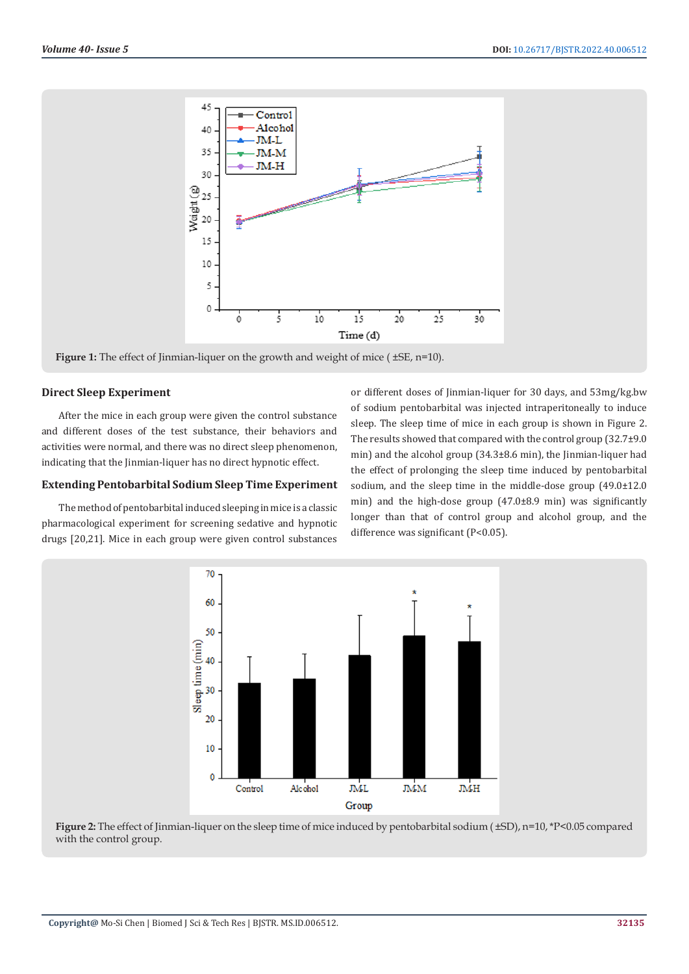

**Figure 1:** The effect of Jinmian-liquer on the growth and weight of mice ( $\pm$ SE, n=10).

# **Direct Sleep Experiment**

After the mice in each group were given the control substance and different doses of the test substance, their behaviors and activities were normal, and there was no direct sleep phenomenon, indicating that the Jinmian-liquer has no direct hypnotic effect.

# **Extending Pentobarbital Sodium Sleep Time Experiment**

The method of pentobarbital induced sleeping in mice is a classic pharmacological experiment for screening sedative and hypnotic drugs [20,21]. Mice in each group were given control substances

or different doses of Jinmian-liquer for 30 days, and 53mg/kg.bw of sodium pentobarbital was injected intraperitoneally to induce sleep. The sleep time of mice in each group is shown in Figure 2. The results showed that compared with the control group (32.7±9.0 min) and the alcohol group (34.3±8.6 min), the Jinmian-liquer had the effect of prolonging the sleep time induced by pentobarbital sodium, and the sleep time in the middle-dose group (49.0±12.0 min) and the high-dose group (47.0±8.9 min) was significantly longer than that of control group and alcohol group, and the difference was significant (P<0.05).



**Figure 2:** The effect of Jinmian-liquer on the sleep time of mice induced by pentobarbital sodium ( $\pm$ SD), n=10, \*P<0.05 compared with the control group.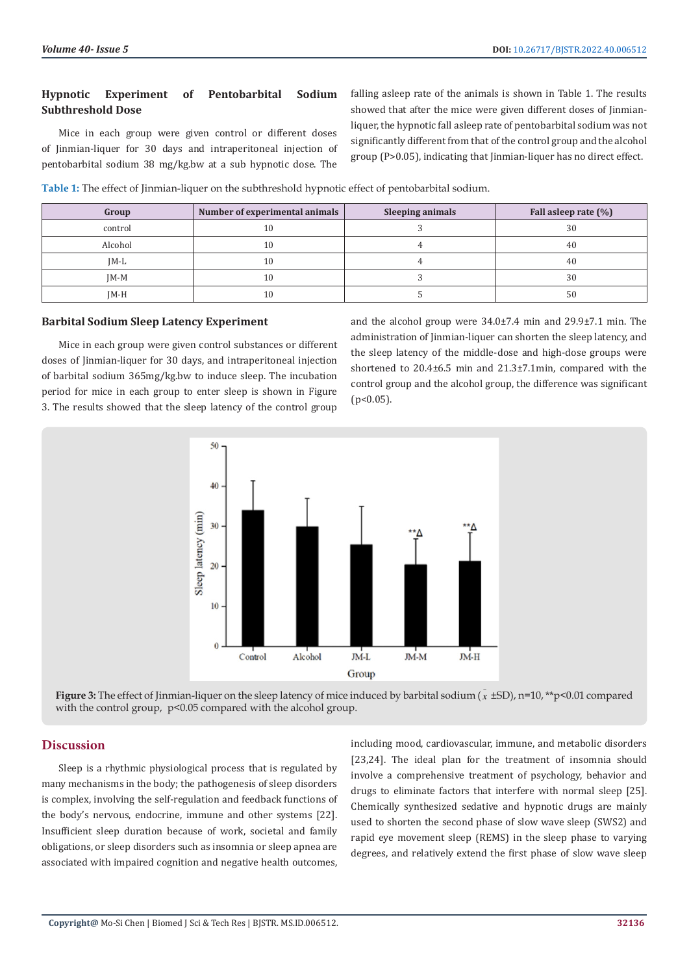# **Hypnotic Experiment of Pentobarbital Sodium Subthreshold Dose**

Mice in each group were given control or different doses of Jinmian-liquer for 30 days and intraperitoneal injection of pentobarbital sodium 38 mg/kg.bw at a sub hypnotic dose. The

falling asleep rate of the animals is shown in Table 1. The results showed that after the mice were given different doses of Jinmianliquer, the hypnotic fall asleep rate of pentobarbital sodium was not significantly different from that of the control group and the alcohol group (P>0.05), indicating that Jinmian-liquer has no direct effect.

**Table 1:** The effect of Jinmian-liquer on the subthreshold hypnotic effect of pentobarbital sodium.

| Group   | Number of experimental animals | <b>Sleeping animals</b> | Fall asleep rate (%) |
|---------|--------------------------------|-------------------------|----------------------|
| control | 10                             |                         | 30                   |
| Alcohol | 10                             |                         | 40                   |
| IM-L    | 10                             |                         | 40                   |
| $IM-M$  | 10                             |                         | 30                   |
| IM-H    | 10                             |                         | 50                   |

#### **Barbital Sodium Sleep Latency Experiment**

Mice in each group were given control substances or different doses of Jinmian-liquer for 30 days, and intraperitoneal injection of barbital sodium 365mg/kg.bw to induce sleep. The incubation period for mice in each group to enter sleep is shown in Figure 3. The results showed that the sleep latency of the control group

and the alcohol group were 34.0±7.4 min and 29.9±7.1 min. The administration of Jinmian-liquer can shorten the sleep latency, and the sleep latency of the middle-dose and high-dose groups were shortened to 20.4±6.5 min and 21.3±7.1min, compared with the control group and the alcohol group, the difference was significant  $(p<0.05)$ .



**Figure 3:** The effect of Jinmian-liquer on the sleep latency of mice induced by barbital sodium ( $\bar{x}$  ±SD), n=10, \*\*p<0.01 compared with the control group,  $p<0.05$  compared with the alcohol group.

#### **Discussion**

Sleep is a rhythmic physiological process that is regulated by many mechanisms in the body; the pathogenesis of sleep disorders is complex, involving the self-regulation and feedback functions of the body's nervous, endocrine, immune and other systems [22]. Insufficient sleep duration because of work, societal and family obligations, or sleep disorders such as insomnia or sleep apnea are associated with impaired cognition and negative health outcomes,

including mood, cardiovascular, immune, and metabolic disorders [23,24]. The ideal plan for the treatment of insomnia should involve a comprehensive treatment of psychology, behavior and drugs to eliminate factors that interfere with normal sleep [25]. Chemically synthesized sedative and hypnotic drugs are mainly used to shorten the second phase of slow wave sleep (SWS2) and rapid eye movement sleep (REMS) in the sleep phase to varying degrees, and relatively extend the first phase of slow wave sleep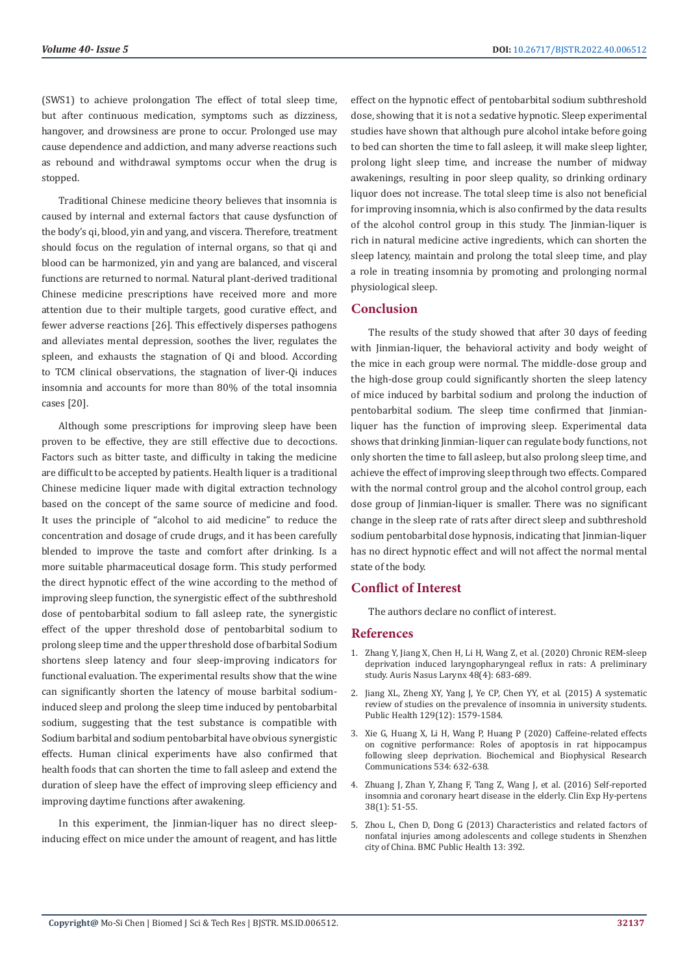(SWS1) to achieve prolongation The effect of total sleep time, but after continuous medication, symptoms such as dizziness, hangover, and drowsiness are prone to occur. Prolonged use may cause dependence and addiction, and many adverse reactions such as rebound and withdrawal symptoms occur when the drug is stopped.

Traditional Chinese medicine theory believes that insomnia is caused by internal and external factors that cause dysfunction of the body's qi, blood, yin and yang, and viscera. Therefore, treatment should focus on the regulation of internal organs, so that qi and blood can be harmonized, yin and yang are balanced, and visceral functions are returned to normal. Natural plant-derived traditional Chinese medicine prescriptions have received more and more attention due to their multiple targets, good curative effect, and fewer adverse reactions [26]. This effectively disperses pathogens and alleviates mental depression, soothes the liver, regulates the spleen, and exhausts the stagnation of Qi and blood. According to TCM clinical observations, the stagnation of liver-Qi induces insomnia and accounts for more than 80% of the total insomnia cases [20].

Although some prescriptions for improving sleep have been proven to be effective, they are still effective due to decoctions. Factors such as bitter taste, and difficulty in taking the medicine are difficult to be accepted by patients. Health liquer is a traditional Chinese medicine liquer made with digital extraction technology based on the concept of the same source of medicine and food. It uses the principle of "alcohol to aid medicine" to reduce the concentration and dosage of crude drugs, and it has been carefully blended to improve the taste and comfort after drinking. Is a more suitable pharmaceutical dosage form. This study performed the direct hypnotic effect of the wine according to the method of improving sleep function, the synergistic effect of the subthreshold dose of pentobarbital sodium to fall asleep rate, the synergistic effect of the upper threshold dose of pentobarbital sodium to prolong sleep time and the upper threshold dose of barbital Sodium shortens sleep latency and four sleep-improving indicators for functional evaluation. The experimental results show that the wine can significantly shorten the latency of mouse barbital sodiuminduced sleep and prolong the sleep time induced by pentobarbital sodium, suggesting that the test substance is compatible with Sodium barbital and sodium pentobarbital have obvious synergistic effects. Human clinical experiments have also confirmed that health foods that can shorten the time to fall asleep and extend the duration of sleep have the effect of improving sleep efficiency and improving daytime functions after awakening.

In this experiment, the Jinmian-liquer has no direct sleepinducing effect on mice under the amount of reagent, and has little effect on the hypnotic effect of pentobarbital sodium subthreshold dose, showing that it is not a sedative hypnotic. Sleep experimental studies have shown that although pure alcohol intake before going to bed can shorten the time to fall asleep, it will make sleep lighter, prolong light sleep time, and increase the number of midway awakenings, resulting in poor sleep quality, so drinking ordinary liquor does not increase. The total sleep time is also not beneficial for improving insomnia, which is also confirmed by the data results of the alcohol control group in this study. The Jinmian-liquer is rich in natural medicine active ingredients, which can shorten the sleep latency, maintain and prolong the total sleep time, and play a role in treating insomnia by promoting and prolonging normal physiological sleep.

# **Conclusion**

The results of the study showed that after 30 days of feeding with Jinmian-liquer, the behavioral activity and body weight of the mice in each group were normal. The middle-dose group and the high-dose group could significantly shorten the sleep latency of mice induced by barbital sodium and prolong the induction of pentobarbital sodium. The sleep time confirmed that Jinmianliquer has the function of improving sleep. Experimental data shows that drinking Jinmian-liquer can regulate body functions, not only shorten the time to fall asleep, but also prolong sleep time, and achieve the effect of improving sleep through two effects. Compared with the normal control group and the alcohol control group, each dose group of Jinmian-liquer is smaller. There was no significant change in the sleep rate of rats after direct sleep and subthreshold sodium pentobarbital dose hypnosis, indicating that Jinmian-liquer has no direct hypnotic effect and will not affect the normal mental state of the body.

# **Conflict of Interest**

The authors declare no conflict of interest.

# **References**

- 1. [Zhang Y, Jiang X, Chen H, Li H, Wang Z, et al. \(2020\) Chronic REM-sleep](https://pubmed.ncbi.nlm.nih.gov/33143936/) [deprivation induced laryngopharyngeal reflux in rats: A preliminary](https://pubmed.ncbi.nlm.nih.gov/33143936/) [study. Auris Nasus Larynx 48\(4\): 683-689.](https://pubmed.ncbi.nlm.nih.gov/33143936/)
- 2. [Jiang XL, Zheng XY, Yang J, Ye CP, Chen YY, et al. \(2015\) A systematic](https://pubmed.ncbi.nlm.nih.gov/26298588/) [review of studies on the prevalence of insomnia in university students.](https://pubmed.ncbi.nlm.nih.gov/26298588/) [Public Health 129\(12\): 1579-1584.](https://pubmed.ncbi.nlm.nih.gov/26298588/)
- 3. [Xie G, Huang X, Li H, Wang P, Huang P \(2020\) Caffeine-related effects](https://pubmed.ncbi.nlm.nih.gov/33213844/) [on cognitive performance: Roles of apoptosis in rat hippocampus](https://pubmed.ncbi.nlm.nih.gov/33213844/) [following sleep deprivation. Biochemical and Biophysical Research](https://pubmed.ncbi.nlm.nih.gov/33213844/) [Communications 534: 632-638.](https://pubmed.ncbi.nlm.nih.gov/33213844/)
- 4. [Zhuang J, Zhan Y, Zhang F, Tang Z, Wang J, et al. \(2016\) Self-reported](https://pubmed.ncbi.nlm.nih.gov/26268738/) [insomnia and coronary heart disease in the elderly. Clin Exp Hy-pertens](https://pubmed.ncbi.nlm.nih.gov/26268738/) [38\(1\): 51-55.](https://pubmed.ncbi.nlm.nih.gov/26268738/)
- 5. [Zhou L, Chen D, Dong G \(2013\) Characteristics and related factors of](https://pubmed.ncbi.nlm.nih.gov/23617938/) [nonfatal injuries among adolescents and college students in Shenzhen](https://pubmed.ncbi.nlm.nih.gov/23617938/) [city of China. BMC Public Health 13: 392.](https://pubmed.ncbi.nlm.nih.gov/23617938/)